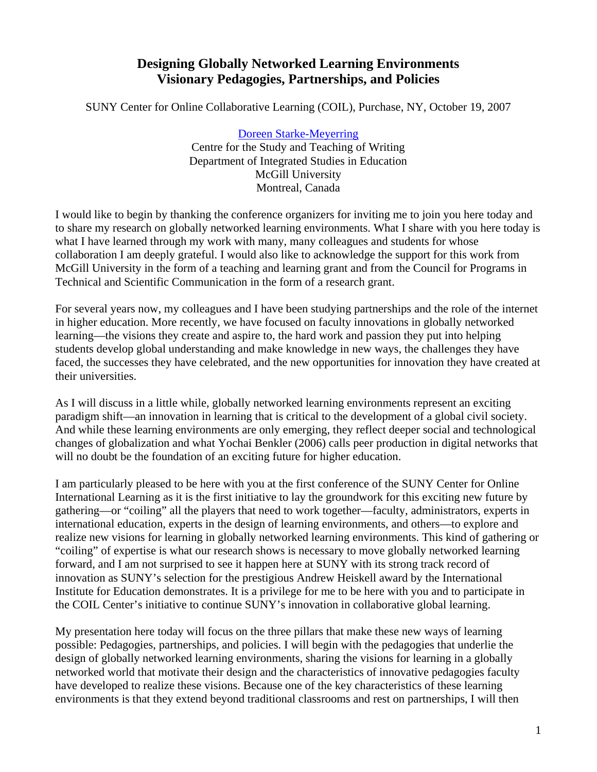# **Designing Globally Networked Learning Environments Visionary Pedagogies, Partnerships, and Policies**

SUNY Center for Online Collaborative Learning (COIL), Purchase, NY, October 19, 2007

[Doreen Starke-Meyerring](http://webpages.mcgill.ca/staff/group1/dstark1/web/starke-meyerring/) Centre for the Study and Teaching of Writing Department of Integrated Studies in Education McGill University Montreal, Canada

I would like to begin by thanking the conference organizers for inviting me to join you here today and to share my research on globally networked learning environments. What I share with you here today is what I have learned through my work with many, many colleagues and students for whose collaboration I am deeply grateful. I would also like to acknowledge the support for this work from McGill University in the form of a teaching and learning grant and from the Council for Programs in Technical and Scientific Communication in the form of a research grant.

For several years now, my colleagues and I have been studying partnerships and the role of the internet in higher education. More recently, we have focused on faculty innovations in globally networked learning—the visions they create and aspire to, the hard work and passion they put into helping students develop global understanding and make knowledge in new ways, the challenges they have faced, the successes they have celebrated, and the new opportunities for innovation they have created at their universities.

As I will discuss in a little while, globally networked learning environments represent an exciting paradigm shift—an innovation in learning that is critical to the development of a global civil society. And while these learning environments are only emerging, they reflect deeper social and technological changes of globalization and what Yochai Benkler (2006) calls peer production in digital networks that will no doubt be the foundation of an exciting future for higher education.

I am particularly pleased to be here with you at the first conference of the SUNY Center for Online International Learning as it is the first initiative to lay the groundwork for this exciting new future by gathering—or "coiling" all the players that need to work together—faculty, administrators, experts in international education, experts in the design of learning environments, and others—to explore and realize new visions for learning in globally networked learning environments. This kind of gathering or "coiling" of expertise is what our research shows is necessary to move globally networked learning forward, and I am not surprised to see it happen here at SUNY with its strong track record of innovation as SUNY's selection for the prestigious Andrew Heiskell award by the International Institute for Education demonstrates. It is a privilege for me to be here with you and to participate in the COIL Center's initiative to continue SUNY's innovation in collaborative global learning.

My presentation here today will focus on the three pillars that make these new ways of learning possible: Pedagogies, partnerships, and policies. I will begin with the pedagogies that underlie the design of globally networked learning environments, sharing the visions for learning in a globally networked world that motivate their design and the characteristics of innovative pedagogies faculty have developed to realize these visions. Because one of the key characteristics of these learning environments is that they extend beyond traditional classrooms and rest on partnerships, I will then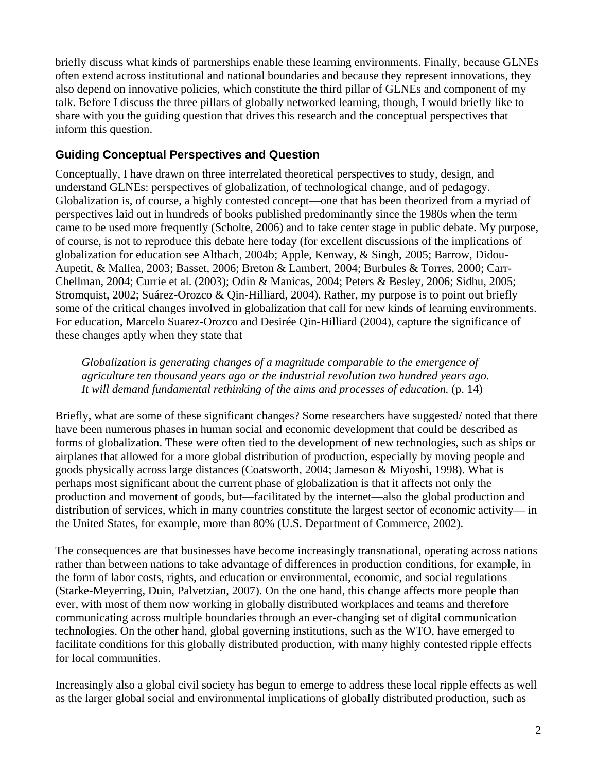briefly discuss what kinds of partnerships enable these learning environments. Finally, because GLNEs often extend across institutional and national boundaries and because they represent innovations, they also depend on innovative policies, which constitute the third pillar of GLNEs and component of my talk. Before I discuss the three pillars of globally networked learning, though, I would briefly like to share with you the guiding question that drives this research and the conceptual perspectives that inform this question.

## **Guiding Conceptual Perspectives and Question**

Conceptually, I have drawn on three interrelated theoretical perspectives to study, design, and understand GLNEs: perspectives of globalization, of technological change, and of pedagogy. Globalization is, of course, a highly contested concept—one that has been theorized from a myriad of perspectives laid out in hundreds of books published predominantly since the 1980s when the term came to be used more frequently (Scholte, 2006) and to take center stage in public debate. My purpose, of course, is not to reproduce this debate here today (for excellent discussions of the implications of globalization for education see Altbach, 2004b; Apple, Kenway, & Singh, 2005; Barrow, Didou-Aupetit, & Mallea, 2003; Basset, 2006; Breton & Lambert, 2004; Burbules & Torres, 2000; Carr-Chellman, 2004; Currie et al. (2003); Odin & Manicas, 2004; Peters & Besley, 2006; Sidhu, 2005; Stromquist, 2002; Suárez-Orozco & Qin-Hilliard, 2004). Rather, my purpose is to point out briefly some of the critical changes involved in globalization that call for new kinds of learning environments. For education, Marcelo Suarez-Orozco and Desirée Qin-Hilliard (2004), capture the significance of these changes aptly when they state that

*Globalization is generating changes of a magnitude comparable to the emergence of agriculture ten thousand years ago or the industrial revolution two hundred years ago. It will demand fundamental rethinking of the aims and processes of education.* (p. 14)

Briefly, what are some of these significant changes? Some researchers have suggested/ noted that there have been numerous phases in human social and economic development that could be described as forms of globalization. These were often tied to the development of new technologies, such as ships or airplanes that allowed for a more global distribution of production, especially by moving people and goods physically across large distances (Coatsworth, 2004; Jameson & Miyoshi, 1998). What is perhaps most significant about the current phase of globalization is that it affects not only the production and movement of goods, but—facilitated by the internet—also the global production and distribution of services, which in many countries constitute the largest sector of economic activity— in the United States, for example, more than 80% (U.S. Department of Commerce, 2002).

The consequences are that businesses have become increasingly transnational, operating across nations rather than between nations to take advantage of differences in production conditions, for example, in the form of labor costs, rights, and education or environmental, economic, and social regulations (Starke-Meyerring, Duin, Palvetzian, 2007). On the one hand, this change affects more people than ever, with most of them now working in globally distributed workplaces and teams and therefore communicating across multiple boundaries through an ever-changing set of digital communication technologies. On the other hand, global governing institutions, such as the WTO, have emerged to facilitate conditions for this globally distributed production, with many highly contested ripple effects for local communities.

Increasingly also a global civil society has begun to emerge to address these local ripple effects as well as the larger global social and environmental implications of globally distributed production, such as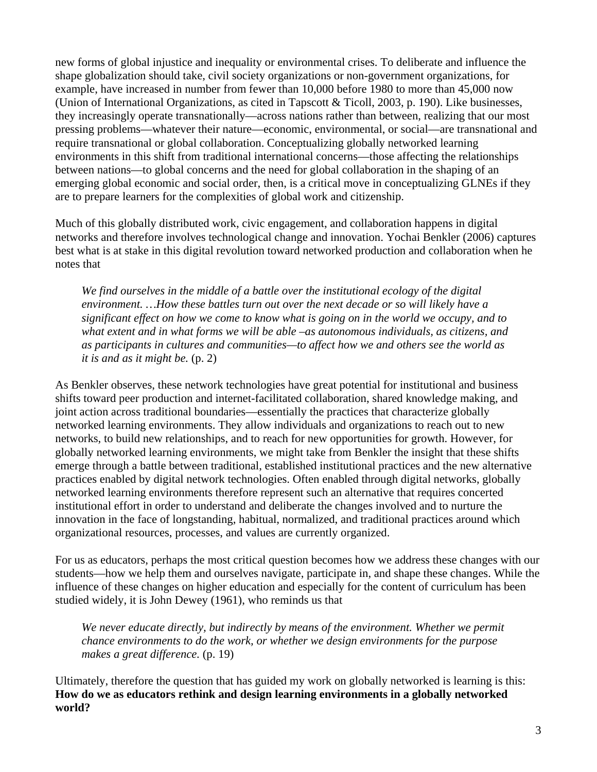new forms of global injustice and inequality or environmental crises. To deliberate and influence the shape globalization should take, civil society organizations or non-government organizations, for example, have increased in number from fewer than 10,000 before 1980 to more than 45,000 now (Union of International Organizations, as cited in Tapscott & Ticoll, 2003, p. 190). Like businesses, they increasingly operate transnationally—across nations rather than between, realizing that our most pressing problems—whatever their nature—economic, environmental, or social—are transnational and require transnational or global collaboration. Conceptualizing globally networked learning environments in this shift from traditional international concerns—those affecting the relationships between nations—to global concerns and the need for global collaboration in the shaping of an emerging global economic and social order, then, is a critical move in conceptualizing GLNEs if they are to prepare learners for the complexities of global work and citizenship.

Much of this globally distributed work, civic engagement, and collaboration happens in digital networks and therefore involves technological change and innovation. Yochai Benkler (2006) captures best what is at stake in this digital revolution toward networked production and collaboration when he notes that

*We find ourselves in the middle of a battle over the institutional ecology of the digital environment. …How these battles turn out over the next decade or so will likely have a significant effect on how we come to know what is going on in the world we occupy, and to what extent and in what forms we will be able –as autonomous individuals, as citizens, and as participants in cultures and communities—to affect how we and others see the world as it is and as it might be.* (p. 2)

As Benkler observes, these network technologies have great potential for institutional and business shifts toward peer production and internet-facilitated collaboration, shared knowledge making, and joint action across traditional boundaries—essentially the practices that characterize globally networked learning environments. They allow individuals and organizations to reach out to new networks, to build new relationships, and to reach for new opportunities for growth. However, for globally networked learning environments, we might take from Benkler the insight that these shifts emerge through a battle between traditional, established institutional practices and the new alternative practices enabled by digital network technologies. Often enabled through digital networks, globally networked learning environments therefore represent such an alternative that requires concerted institutional effort in order to understand and deliberate the changes involved and to nurture the innovation in the face of longstanding, habitual, normalized, and traditional practices around which organizational resources, processes, and values are currently organized.

For us as educators, perhaps the most critical question becomes how we address these changes with our students—how we help them and ourselves navigate, participate in, and shape these changes. While the influence of these changes on higher education and especially for the content of curriculum has been studied widely, it is John Dewey (1961), who reminds us that

*We never educate directly, but indirectly by means of the environment. Whether we permit chance environments to do the work, or whether we design environments for the purpose makes a great difference.* (p. 19)

Ultimately, therefore the question that has guided my work on globally networked is learning is this: **How do we as educators rethink and design learning environments in a globally networked world?**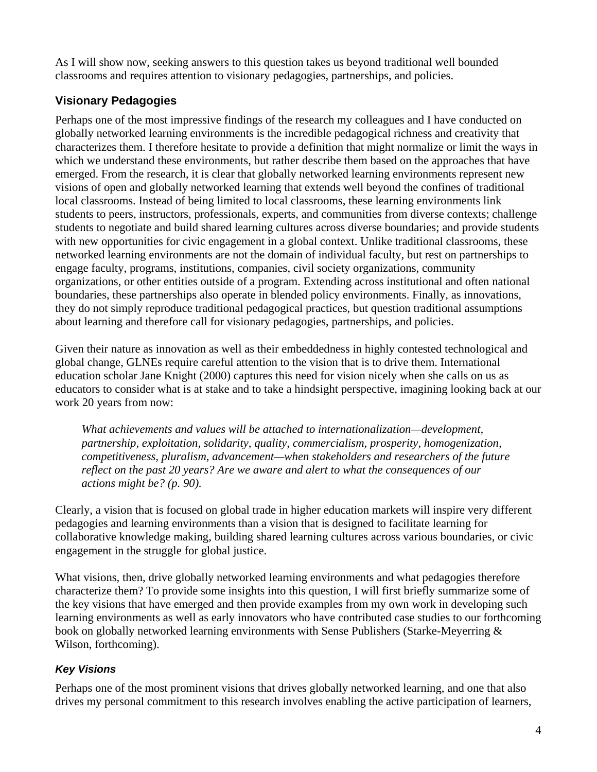As I will show now, seeking answers to this question takes us beyond traditional well bounded classrooms and requires attention to visionary pedagogies, partnerships, and policies.

## **Visionary Pedagogies**

Perhaps one of the most impressive findings of the research my colleagues and I have conducted on globally networked learning environments is the incredible pedagogical richness and creativity that characterizes them. I therefore hesitate to provide a definition that might normalize or limit the ways in which we understand these environments, but rather describe them based on the approaches that have emerged. From the research, it is clear that globally networked learning environments represent new visions of open and globally networked learning that extends well beyond the confines of traditional local classrooms. Instead of being limited to local classrooms, these learning environments link students to peers, instructors, professionals, experts, and communities from diverse contexts; challenge students to negotiate and build shared learning cultures across diverse boundaries; and provide students with new opportunities for civic engagement in a global context. Unlike traditional classrooms, these networked learning environments are not the domain of individual faculty, but rest on partnerships to engage faculty, programs, institutions, companies, civil society organizations, community organizations, or other entities outside of a program. Extending across institutional and often national boundaries, these partnerships also operate in blended policy environments. Finally, as innovations, they do not simply reproduce traditional pedagogical practices, but question traditional assumptions about learning and therefore call for visionary pedagogies, partnerships, and policies.

Given their nature as innovation as well as their embeddedness in highly contested technological and global change, GLNEs require careful attention to the vision that is to drive them. International education scholar Jane Knight (2000) captures this need for vision nicely when she calls on us as educators to consider what is at stake and to take a hindsight perspective, imagining looking back at our work 20 years from now:

*What achievements and values will be attached to internationalization—development, partnership, exploitation, solidarity, quality, commercialism, prosperity, homogenization, competitiveness, pluralism, advancement—when stakeholders and researchers of the future reflect on the past 20 years? Are we aware and alert to what the consequences of our actions might be? (p. 90).* 

Clearly, a vision that is focused on global trade in higher education markets will inspire very different pedagogies and learning environments than a vision that is designed to facilitate learning for collaborative knowledge making, building shared learning cultures across various boundaries, or civic engagement in the struggle for global justice.

What visions, then, drive globally networked learning environments and what pedagogies therefore characterize them? To provide some insights into this question, I will first briefly summarize some of the key visions that have emerged and then provide examples from my own work in developing such learning environments as well as early innovators who have contributed case studies to our forthcoming book on globally networked learning environments with Sense Publishers (Starke-Meyerring & Wilson, forthcoming).

## *Key Visions*

Perhaps one of the most prominent visions that drives globally networked learning, and one that also drives my personal commitment to this research involves enabling the active participation of learners,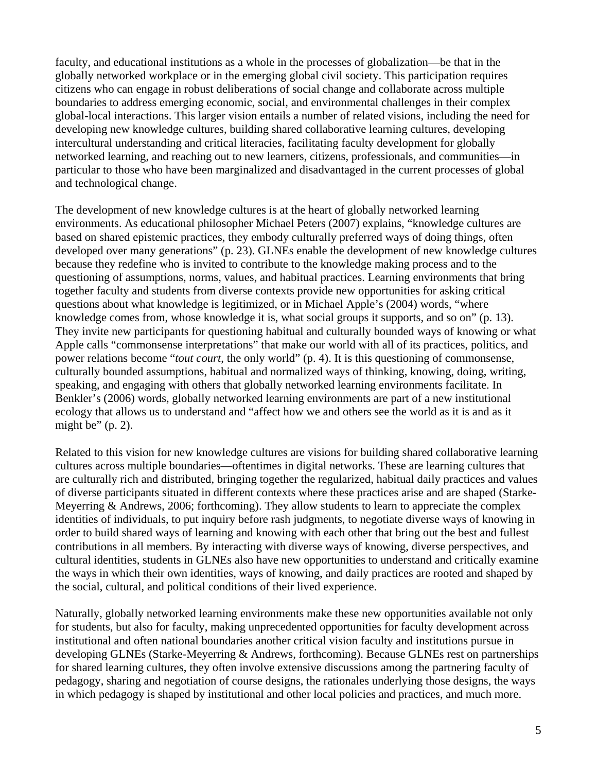faculty, and educational institutions as a whole in the processes of globalization—be that in the globally networked workplace or in the emerging global civil society. This participation requires citizens who can engage in robust deliberations of social change and collaborate across multiple boundaries to address emerging economic, social, and environmental challenges in their complex global-local interactions. This larger vision entails a number of related visions, including the need for developing new knowledge cultures, building shared collaborative learning cultures, developing intercultural understanding and critical literacies, facilitating faculty development for globally networked learning, and reaching out to new learners, citizens, professionals, and communities—in particular to those who have been marginalized and disadvantaged in the current processes of global and technological change.

The development of new knowledge cultures is at the heart of globally networked learning environments. As educational philosopher Michael Peters (2007) explains, "knowledge cultures are based on shared epistemic practices, they embody culturally preferred ways of doing things, often developed over many generations" (p. 23). GLNEs enable the development of new knowledge cultures because they redefine who is invited to contribute to the knowledge making process and to the questioning of assumptions, norms, values, and habitual practices. Learning environments that bring together faculty and students from diverse contexts provide new opportunities for asking critical questions about what knowledge is legitimized, or in Michael Apple's (2004) words, "where knowledge comes from, whose knowledge it is, what social groups it supports, and so on" (p. 13). They invite new participants for questioning habitual and culturally bounded ways of knowing or what Apple calls "commonsense interpretations" that make our world with all of its practices, politics, and power relations become "*tout court*, the only world" (p. 4). It is this questioning of commonsense, culturally bounded assumptions, habitual and normalized ways of thinking, knowing, doing, writing, speaking, and engaging with others that globally networked learning environments facilitate. In Benkler's (2006) words, globally networked learning environments are part of a new institutional ecology that allows us to understand and "affect how we and others see the world as it is and as it might be"  $(p. 2)$ .

Related to this vision for new knowledge cultures are visions for building shared collaborative learning cultures across multiple boundaries—oftentimes in digital networks. These are learning cultures that are culturally rich and distributed, bringing together the regularized, habitual daily practices and values of diverse participants situated in different contexts where these practices arise and are shaped (Starke-Meyerring  $&$  Andrews, 2006; forthcoming). They allow students to learn to appreciate the complex identities of individuals, to put inquiry before rash judgments, to negotiate diverse ways of knowing in order to build shared ways of learning and knowing with each other that bring out the best and fullest contributions in all members. By interacting with diverse ways of knowing, diverse perspectives, and cultural identities, students in GLNEs also have new opportunities to understand and critically examine the ways in which their own identities, ways of knowing, and daily practices are rooted and shaped by the social, cultural, and political conditions of their lived experience.

Naturally, globally networked learning environments make these new opportunities available not only for students, but also for faculty, making unprecedented opportunities for faculty development across institutional and often national boundaries another critical vision faculty and institutions pursue in developing GLNEs (Starke-Meyerring & Andrews, forthcoming). Because GLNEs rest on partnerships for shared learning cultures, they often involve extensive discussions among the partnering faculty of pedagogy, sharing and negotiation of course designs, the rationales underlying those designs, the ways in which pedagogy is shaped by institutional and other local policies and practices, and much more.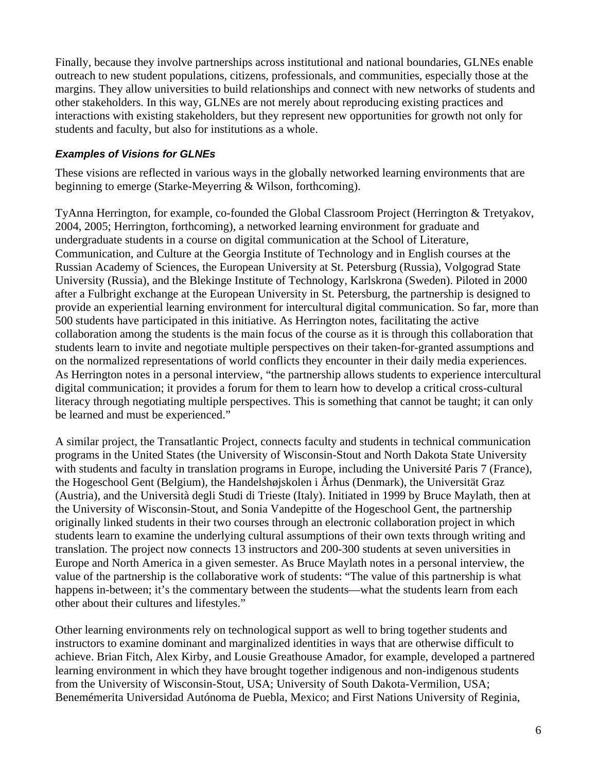Finally, because they involve partnerships across institutional and national boundaries, GLNEs enable outreach to new student populations, citizens, professionals, and communities, especially those at the margins. They allow universities to build relationships and connect with new networks of students and other stakeholders. In this way, GLNEs are not merely about reproducing existing practices and interactions with existing stakeholders, but they represent new opportunities for growth not only for students and faculty, but also for institutions as a whole.

#### *Examples of Visions for GLNEs*

These visions are reflected in various ways in the globally networked learning environments that are beginning to emerge (Starke-Meyerring & Wilson, forthcoming).

TyAnna Herrington, for example, co-founded the Global Classroom Project (Herrington & Tretyakov, 2004, 2005; Herrington, forthcoming), a networked learning environment for graduate and undergraduate students in a course on digital communication at the School of Literature, Communication, and Culture at the Georgia Institute of Technology and in English courses at the Russian Academy of Sciences, the European University at St. Petersburg (Russia), Volgograd State University (Russia), and the Blekinge Institute of Technology, Karlskrona (Sweden). Piloted in 2000 after a Fulbright exchange at the European University in St. Petersburg, the partnership is designed to provide an experiential learning environment for intercultural digital communication. So far, more than 500 students have participated in this initiative. As Herrington notes, facilitating the active collaboration among the students is the main focus of the course as it is through this collaboration that students learn to invite and negotiate multiple perspectives on their taken-for-granted assumptions and on the normalized representations of world conflicts they encounter in their daily media experiences. As Herrington notes in a personal interview, "the partnership allows students to experience intercultural digital communication; it provides a forum for them to learn how to develop a critical cross-cultural literacy through negotiating multiple perspectives. This is something that cannot be taught; it can only be learned and must be experienced."

A similar project, the Transatlantic Project, connects faculty and students in technical communication programs in the United States (the University of Wisconsin-Stout and North Dakota State University with students and faculty in translation programs in Europe, including the Université Paris 7 (France), the Hogeschool Gent (Belgium), the Handelshøjskolen i Århus (Denmark), the Universität Graz (Austria), and the Università degli Studi di Trieste (Italy). Initiated in 1999 by Bruce Maylath, then at the University of Wisconsin-Stout, and Sonia Vandepitte of the Hogeschool Gent, the partnership originally linked students in their two courses through an electronic collaboration project in which students learn to examine the underlying cultural assumptions of their own texts through writing and translation. The project now connects 13 instructors and 200-300 students at seven universities in Europe and North America in a given semester. As Bruce Maylath notes in a personal interview, the value of the partnership is the collaborative work of students: "The value of this partnership is what happens in-between; it's the commentary between the students—what the students learn from each other about their cultures and lifestyles."

Other learning environments rely on technological support as well to bring together students and instructors to examine dominant and marginalized identities in ways that are otherwise difficult to achieve. Brian Fitch, Alex Kirby, and Lousie Greathouse Amador, for example, developed a partnered learning environment in which they have brought together indigenous and non-indigenous students from the University of Wisconsin-Stout, USA; University of South Dakota-Vermilion, USA; Benemémerita Universidad Autónoma de Puebla, Mexico; and First Nations University of Reginia,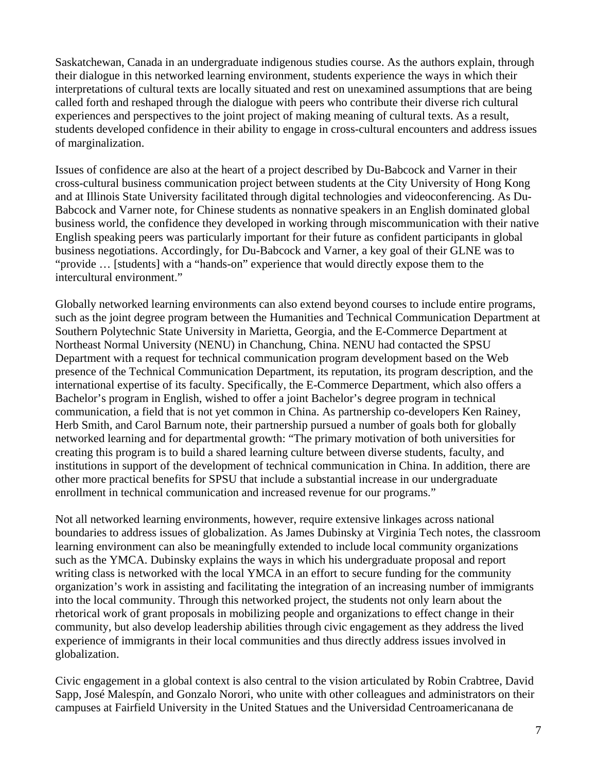Saskatchewan, Canada in an undergraduate indigenous studies course. As the authors explain, through their dialogue in this networked learning environment, students experience the ways in which their interpretations of cultural texts are locally situated and rest on unexamined assumptions that are being called forth and reshaped through the dialogue with peers who contribute their diverse rich cultural experiences and perspectives to the joint project of making meaning of cultural texts. As a result, students developed confidence in their ability to engage in cross-cultural encounters and address issues of marginalization.

Issues of confidence are also at the heart of a project described by Du-Babcock and Varner in their cross-cultural business communication project between students at the City University of Hong Kong and at Illinois State University facilitated through digital technologies and videoconferencing. As Du-Babcock and Varner note, for Chinese students as nonnative speakers in an English dominated global business world, the confidence they developed in working through miscommunication with their native English speaking peers was particularly important for their future as confident participants in global business negotiations. Accordingly, for Du-Babcock and Varner, a key goal of their GLNE was to "provide … [students] with a "hands-on" experience that would directly expose them to the intercultural environment."

Globally networked learning environments can also extend beyond courses to include entire programs, such as the joint degree program between the Humanities and Technical Communication Department at Southern Polytechnic State University in Marietta, Georgia, and the E-Commerce Department at Northeast Normal University (NENU) in Chanchung, China. NENU had contacted the SPSU Department with a request for technical communication program development based on the Web presence of the Technical Communication Department, its reputation, its program description, and the international expertise of its faculty. Specifically, the E-Commerce Department, which also offers a Bachelor's program in English, wished to offer a joint Bachelor's degree program in technical communication, a field that is not yet common in China. As partnership co-developers Ken Rainey, Herb Smith, and Carol Barnum note, their partnership pursued a number of goals both for globally networked learning and for departmental growth: "The primary motivation of both universities for creating this program is to build a shared learning culture between diverse students, faculty, and institutions in support of the development of technical communication in China. In addition, there are other more practical benefits for SPSU that include a substantial increase in our undergraduate enrollment in technical communication and increased revenue for our programs."

Not all networked learning environments, however, require extensive linkages across national boundaries to address issues of globalization. As James Dubinsky at Virginia Tech notes, the classroom learning environment can also be meaningfully extended to include local community organizations such as the YMCA. Dubinsky explains the ways in which his undergraduate proposal and report writing class is networked with the local YMCA in an effort to secure funding for the community organization's work in assisting and facilitating the integration of an increasing number of immigrants into the local community. Through this networked project, the students not only learn about the rhetorical work of grant proposals in mobilizing people and organizations to effect change in their community, but also develop leadership abilities through civic engagement as they address the lived experience of immigrants in their local communities and thus directly address issues involved in globalization.

Civic engagement in a global context is also central to the vision articulated by Robin Crabtree, David Sapp, José Malespín, and Gonzalo Norori, who unite with other colleagues and administrators on their campuses at Fairfield University in the United Statues and the Universidad Centroamericanana de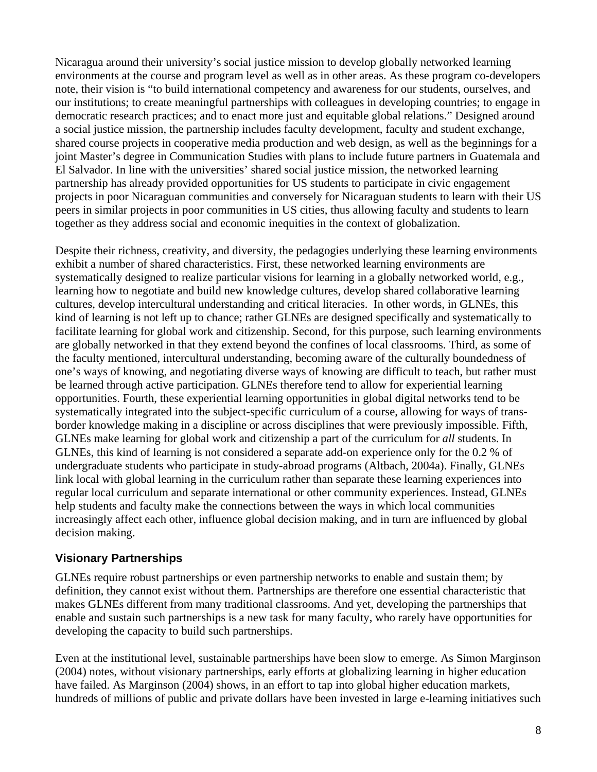Nicaragua around their university's social justice mission to develop globally networked learning environments at the course and program level as well as in other areas. As these program co-developers note, their vision is "to build international competency and awareness for our students, ourselves, and our institutions; to create meaningful partnerships with colleagues in developing countries; to engage in democratic research practices; and to enact more just and equitable global relations." Designed around a social justice mission, the partnership includes faculty development, faculty and student exchange, shared course projects in cooperative media production and web design, as well as the beginnings for a joint Master's degree in Communication Studies with plans to include future partners in Guatemala and El Salvador. In line with the universities' shared social justice mission, the networked learning partnership has already provided opportunities for US students to participate in civic engagement projects in poor Nicaraguan communities and conversely for Nicaraguan students to learn with their US peers in similar projects in poor communities in US cities, thus allowing faculty and students to learn together as they address social and economic inequities in the context of globalization.

Despite their richness, creativity, and diversity, the pedagogies underlying these learning environments exhibit a number of shared characteristics. First, these networked learning environments are systematically designed to realize particular visions for learning in a globally networked world, e.g., learning how to negotiate and build new knowledge cultures, develop shared collaborative learning cultures, develop intercultural understanding and critical literacies. In other words, in GLNEs, this kind of learning is not left up to chance; rather GLNEs are designed specifically and systematically to facilitate learning for global work and citizenship. Second, for this purpose, such learning environments are globally networked in that they extend beyond the confines of local classrooms. Third, as some of the faculty mentioned, intercultural understanding, becoming aware of the culturally boundedness of one's ways of knowing, and negotiating diverse ways of knowing are difficult to teach, but rather must be learned through active participation. GLNEs therefore tend to allow for experiential learning opportunities. Fourth, these experiential learning opportunities in global digital networks tend to be systematically integrated into the subject-specific curriculum of a course, allowing for ways of transborder knowledge making in a discipline or across disciplines that were previously impossible. Fifth, GLNEs make learning for global work and citizenship a part of the curriculum for *all* students. In GLNEs, this kind of learning is not considered a separate add-on experience only for the 0.2 % of undergraduate students who participate in study-abroad programs (Altbach, 2004a). Finally, GLNEs link local with global learning in the curriculum rather than separate these learning experiences into regular local curriculum and separate international or other community experiences. Instead, GLNEs help students and faculty make the connections between the ways in which local communities increasingly affect each other, influence global decision making, and in turn are influenced by global decision making.

### **Visionary Partnerships**

GLNEs require robust partnerships or even partnership networks to enable and sustain them; by definition, they cannot exist without them. Partnerships are therefore one essential characteristic that makes GLNEs different from many traditional classrooms. And yet, developing the partnerships that enable and sustain such partnerships is a new task for many faculty, who rarely have opportunities for developing the capacity to build such partnerships.

Even at the institutional level, sustainable partnerships have been slow to emerge. As Simon Marginson (2004) notes, without visionary partnerships, early efforts at globalizing learning in higher education have failed. As Marginson (2004) shows, in an effort to tap into global higher education markets, hundreds of millions of public and private dollars have been invested in large e-learning initiatives such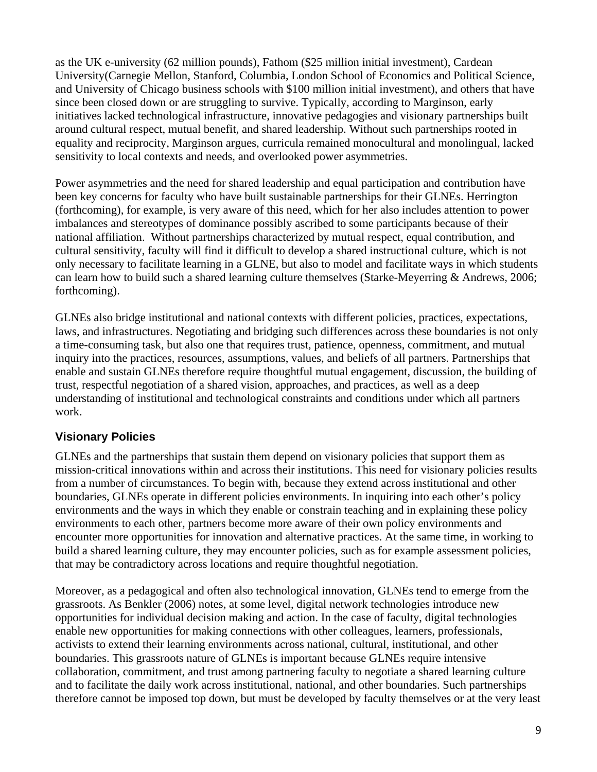as the UK e-university (62 million pounds), Fathom (\$25 million initial investment), Cardean University(Carnegie Mellon, Stanford, Columbia, London School of Economics and Political Science, and University of Chicago business schools with \$100 million initial investment), and others that have since been closed down or are struggling to survive. Typically, according to Marginson, early initiatives lacked technological infrastructure, innovative pedagogies and visionary partnerships built around cultural respect, mutual benefit, and shared leadership. Without such partnerships rooted in equality and reciprocity, Marginson argues, curricula remained monocultural and monolingual, lacked sensitivity to local contexts and needs, and overlooked power asymmetries.

Power asymmetries and the need for shared leadership and equal participation and contribution have been key concerns for faculty who have built sustainable partnerships for their GLNEs. Herrington (forthcoming), for example, is very aware of this need, which for her also includes attention to power imbalances and stereotypes of dominance possibly ascribed to some participants because of their national affiliation. Without partnerships characterized by mutual respect, equal contribution, and cultural sensitivity, faculty will find it difficult to develop a shared instructional culture, which is not only necessary to facilitate learning in a GLNE, but also to model and facilitate ways in which students can learn how to build such a shared learning culture themselves (Starke-Meyerring & Andrews, 2006; forthcoming).

GLNEs also bridge institutional and national contexts with different policies, practices, expectations, laws, and infrastructures. Negotiating and bridging such differences across these boundaries is not only a time-consuming task, but also one that requires trust, patience, openness, commitment, and mutual inquiry into the practices, resources, assumptions, values, and beliefs of all partners. Partnerships that enable and sustain GLNEs therefore require thoughtful mutual engagement, discussion, the building of trust, respectful negotiation of a shared vision, approaches, and practices, as well as a deep understanding of institutional and technological constraints and conditions under which all partners work.

### **Visionary Policies**

GLNEs and the partnerships that sustain them depend on visionary policies that support them as mission-critical innovations within and across their institutions. This need for visionary policies results from a number of circumstances. To begin with, because they extend across institutional and other boundaries, GLNEs operate in different policies environments. In inquiring into each other's policy environments and the ways in which they enable or constrain teaching and in explaining these policy environments to each other, partners become more aware of their own policy environments and encounter more opportunities for innovation and alternative practices. At the same time, in working to build a shared learning culture, they may encounter policies, such as for example assessment policies, that may be contradictory across locations and require thoughtful negotiation.

Moreover, as a pedagogical and often also technological innovation, GLNEs tend to emerge from the grassroots. As Benkler (2006) notes, at some level, digital network technologies introduce new opportunities for individual decision making and action. In the case of faculty, digital technologies enable new opportunities for making connections with other colleagues, learners, professionals, activists to extend their learning environments across national, cultural, institutional, and other boundaries. This grassroots nature of GLNEs is important because GLNEs require intensive collaboration, commitment, and trust among partnering faculty to negotiate a shared learning culture and to facilitate the daily work across institutional, national, and other boundaries. Such partnerships therefore cannot be imposed top down, but must be developed by faculty themselves or at the very least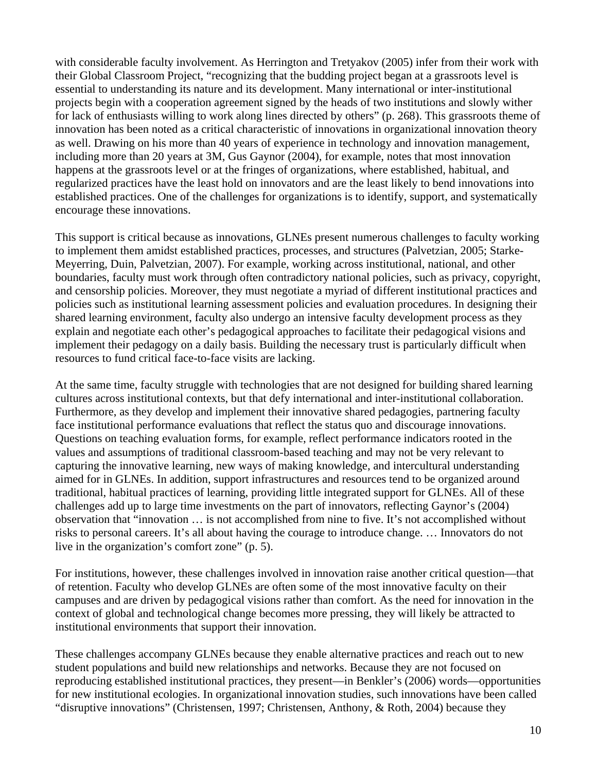with considerable faculty involvement. As Herrington and Tretyakov (2005) infer from their work with their Global Classroom Project, "recognizing that the budding project began at a grassroots level is essential to understanding its nature and its development. Many international or inter-institutional projects begin with a cooperation agreement signed by the heads of two institutions and slowly wither for lack of enthusiasts willing to work along lines directed by others" (p. 268). This grassroots theme of innovation has been noted as a critical characteristic of innovations in organizational innovation theory as well. Drawing on his more than 40 years of experience in technology and innovation management, including more than 20 years at 3M, Gus Gaynor (2004), for example, notes that most innovation happens at the grassroots level or at the fringes of organizations, where established, habitual, and regularized practices have the least hold on innovators and are the least likely to bend innovations into established practices. One of the challenges for organizations is to identify, support, and systematically encourage these innovations.

This support is critical because as innovations, GLNEs present numerous challenges to faculty working to implement them amidst established practices, processes, and structures (Palvetzian, 2005; Starke-Meyerring, Duin, Palvetzian, 2007). For example, working across institutional, national, and other boundaries, faculty must work through often contradictory national policies, such as privacy, copyright, and censorship policies. Moreover, they must negotiate a myriad of different institutional practices and policies such as institutional learning assessment policies and evaluation procedures. In designing their shared learning environment, faculty also undergo an intensive faculty development process as they explain and negotiate each other's pedagogical approaches to facilitate their pedagogical visions and implement their pedagogy on a daily basis. Building the necessary trust is particularly difficult when resources to fund critical face-to-face visits are lacking.

At the same time, faculty struggle with technologies that are not designed for building shared learning cultures across institutional contexts, but that defy international and inter-institutional collaboration. Furthermore, as they develop and implement their innovative shared pedagogies, partnering faculty face institutional performance evaluations that reflect the status quo and discourage innovations. Questions on teaching evaluation forms, for example, reflect performance indicators rooted in the values and assumptions of traditional classroom-based teaching and may not be very relevant to capturing the innovative learning, new ways of making knowledge, and intercultural understanding aimed for in GLNEs. In addition, support infrastructures and resources tend to be organized around traditional, habitual practices of learning, providing little integrated support for GLNEs. All of these challenges add up to large time investments on the part of innovators, reflecting Gaynor's (2004) observation that "innovation … is not accomplished from nine to five. It's not accomplished without risks to personal careers. It's all about having the courage to introduce change. … Innovators do not live in the organization's comfort zone" (p. 5).

For institutions, however, these challenges involved in innovation raise another critical question—that of retention. Faculty who develop GLNEs are often some of the most innovative faculty on their campuses and are driven by pedagogical visions rather than comfort. As the need for innovation in the context of global and technological change becomes more pressing, they will likely be attracted to institutional environments that support their innovation.

These challenges accompany GLNEs because they enable alternative practices and reach out to new student populations and build new relationships and networks. Because they are not focused on reproducing established institutional practices, they present—in Benkler's (2006) words—opportunities for new institutional ecologies. In organizational innovation studies, such innovations have been called "disruptive innovations" (Christensen, 1997; Christensen, Anthony, & Roth, 2004) because they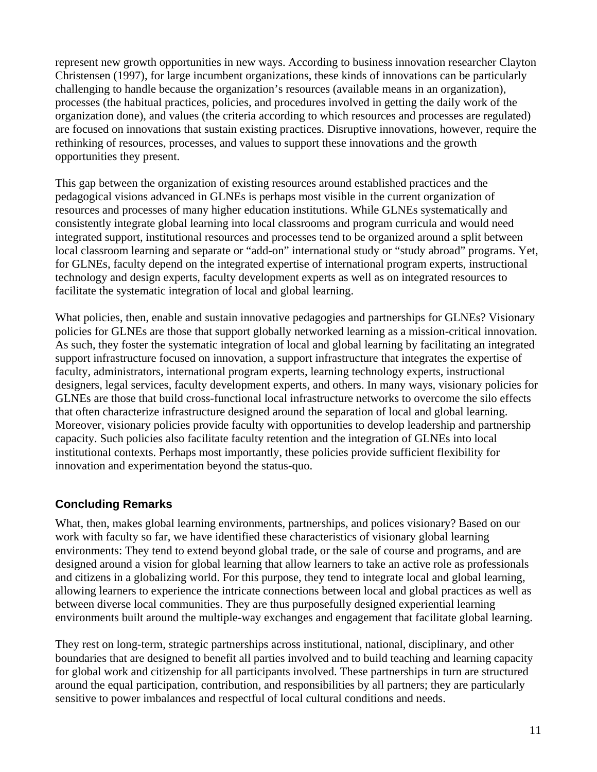represent new growth opportunities in new ways. According to business innovation researcher Clayton Christensen (1997), for large incumbent organizations, these kinds of innovations can be particularly challenging to handle because the organization's resources (available means in an organization), processes (the habitual practices, policies, and procedures involved in getting the daily work of the organization done), and values (the criteria according to which resources and processes are regulated) are focused on innovations that sustain existing practices. Disruptive innovations, however, require the rethinking of resources, processes, and values to support these innovations and the growth opportunities they present.

This gap between the organization of existing resources around established practices and the pedagogical visions advanced in GLNEs is perhaps most visible in the current organization of resources and processes of many higher education institutions. While GLNEs systematically and consistently integrate global learning into local classrooms and program curricula and would need integrated support, institutional resources and processes tend to be organized around a split between local classroom learning and separate or "add-on" international study or "study abroad" programs. Yet, for GLNEs, faculty depend on the integrated expertise of international program experts, instructional technology and design experts, faculty development experts as well as on integrated resources to facilitate the systematic integration of local and global learning.

What policies, then, enable and sustain innovative pedagogies and partnerships for GLNEs? Visionary policies for GLNEs are those that support globally networked learning as a mission-critical innovation. As such, they foster the systematic integration of local and global learning by facilitating an integrated support infrastructure focused on innovation, a support infrastructure that integrates the expertise of faculty, administrators, international program experts, learning technology experts, instructional designers, legal services, faculty development experts, and others. In many ways, visionary policies for GLNEs are those that build cross-functional local infrastructure networks to overcome the silo effects that often characterize infrastructure designed around the separation of local and global learning. Moreover, visionary policies provide faculty with opportunities to develop leadership and partnership capacity. Such policies also facilitate faculty retention and the integration of GLNEs into local institutional contexts. Perhaps most importantly, these policies provide sufficient flexibility for innovation and experimentation beyond the status-quo.

### **Concluding Remarks**

What, then, makes global learning environments, partnerships, and polices visionary? Based on our work with faculty so far, we have identified these characteristics of visionary global learning environments: They tend to extend beyond global trade, or the sale of course and programs, and are designed around a vision for global learning that allow learners to take an active role as professionals and citizens in a globalizing world. For this purpose, they tend to integrate local and global learning, allowing learners to experience the intricate connections between local and global practices as well as between diverse local communities. They are thus purposefully designed experiential learning environments built around the multiple-way exchanges and engagement that facilitate global learning.

They rest on long-term, strategic partnerships across institutional, national, disciplinary, and other boundaries that are designed to benefit all parties involved and to build teaching and learning capacity for global work and citizenship for all participants involved. These partnerships in turn are structured around the equal participation, contribution, and responsibilities by all partners; they are particularly sensitive to power imbalances and respectful of local cultural conditions and needs.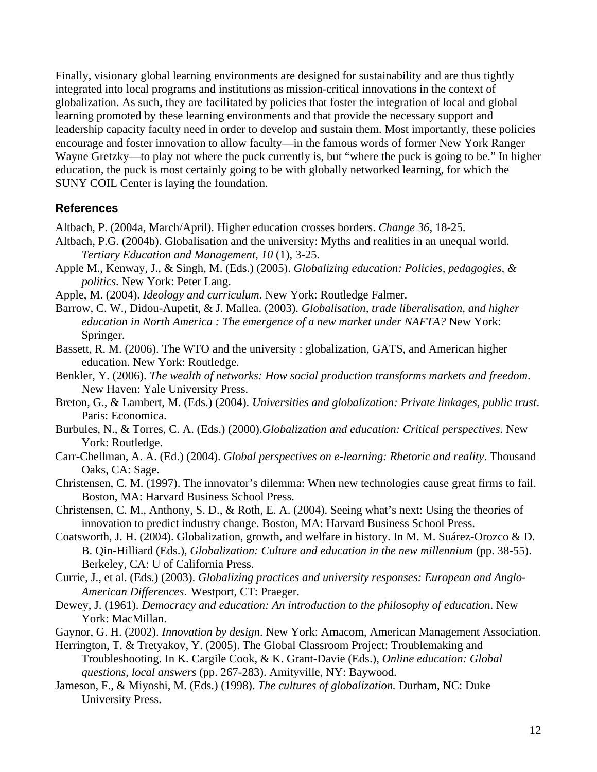Finally, visionary global learning environments are designed for sustainability and are thus tightly integrated into local programs and institutions as mission-critical innovations in the context of globalization. As such, they are facilitated by policies that foster the integration of local and global learning promoted by these learning environments and that provide the necessary support and leadership capacity faculty need in order to develop and sustain them. Most importantly, these policies encourage and foster innovation to allow faculty—in the famous words of former New York Ranger Wayne Gretzky—to play not where the puck currently is, but "where the puck is going to be." In higher education, the puck is most certainly going to be with globally networked learning, for which the SUNY COIL Center is laying the foundation.

#### **References**

Altbach, P. (2004a, March/April). Higher education crosses borders. *Change 36*, 18-25.

- Altbach, P.G. (2004b). Globalisation and the university: Myths and realities in an unequal world. *Tertiary Education and Management*, *10* (1), 3-25.
- Apple M., Kenway, J., & Singh, M. (Eds.) (2005). *Globalizing education: Policies, pedagogies, & politics.* New York: Peter Lang.

Apple, M. (2004). *Ideology and curriculum*. New York: Routledge Falmer.

- Barrow, C. W., Didou-Aupetit, & J. Mallea. (2003). *Globalisation, trade liberalisation, and higher education in North America : The emergence of a new market under NAFTA?* New York: Springer.
- Bassett, R. M. (2006). The WTO and the university : globalization, GATS, and American higher education. New York: Routledge.
- Benkler, Y. (2006). *The wealth of networks: How social production transforms markets and freedom*. New Haven: Yale University Press.
- Breton, G., & Lambert, M. (Eds.) (2004). *Universities and globalization: Private linkages, public trust*. Paris: Economica.
- Burbules, N., & Torres, C. A. (Eds.) (2000).*Globalization and education: Critical perspectives*. New York: Routledge.
- Carr-Chellman, A. A. (Ed.) (2004). *Global perspectives on e-learning: Rhetoric and reality*. Thousand Oaks, CA: Sage.
- Christensen, C. M. (1997). The innovator's dilemma: When new technologies cause great firms to fail. Boston, MA: Harvard Business School Press.
- Christensen, C. M., Anthony, S. D., & Roth, E. A. (2004). Seeing what's next: Using the theories of innovation to predict industry change. Boston, MA: Harvard Business School Press.
- Coatsworth, J. H. (2004). Globalization, growth, and welfare in history. In M. M. Suárez-Orozco & D. B. Qin-Hilliard (Eds.), *Globalization: Culture and education in the new millennium* (pp. 38-55). Berkeley, CA: U of California Press.
- Currie, J., et al. (Eds.) (2003). *Globalizing practices and university responses: European and Anglo-American Differences*. Westport, CT: Praeger.
- Dewey, J. (1961). *Democracy and education: An introduction to the philosophy of education*. New York: MacMillan.
- Gaynor, G. H. (2002). *Innovation by design*. New York: Amacom, American Management Association.
- Herrington, T. & Tretyakov, Y. (2005). The Global Classroom Project: Troublemaking and Troubleshooting. In K. Cargile Cook, & K. Grant-Davie (Eds.), *Online education: Global questions, local answers* (pp. 267-283). Amityville, NY: Baywood.
- Jameson, F., & Miyoshi, M. (Eds.) (1998). *The cultures of globalization.* Durham, NC: Duke University Press.